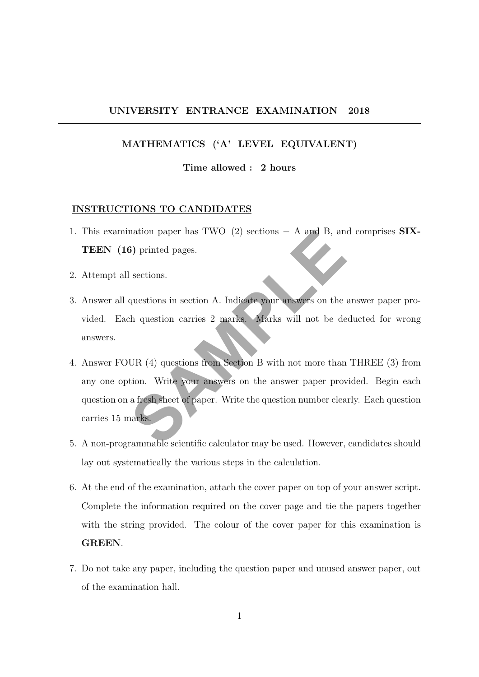### UNIVERSITY ENTRANCE EXAMINATION 2018

### MATHEMATICS ('A' LEVEL EQUIVALENT)

### Time allowed : 2 hours

### INSTRUCTIONS TO CANDIDATES

- 1. This examination paper has TWO (2) sections − A and B, and comprises SIX-TEEN (16) printed pages.
- 2. Attempt all sections.
- 3. Answer all questions in section A. Indicate your answers on the answer paper provided. Each question carries 2 marks. Marks will not be deducted for wrong answers.
- mation paper has TWO (2) sections A and B, an<br>
3) printed pages.<br>
sections.<br>
questions in section A. Indicate your answers on the<br>
characterism carries 2 marks. Marks will not be de<br>
UR (4) questions from Section B with 4. Answer FOUR (4) questions from Section B with not more than THREE (3) from any one option. Write your answers on the answer paper provided. Begin each question on a fresh sheet of paper. Write the question number clearly. Each question carries 15 marks.
- 5. A non-programmable scientific calculator may be used. However, candidates should lay out systematically the various steps in the calculation.
- 6. At the end of the examination, attach the cover paper on top of your answer script. Complete the information required on the cover page and tie the papers together with the string provided. The colour of the cover paper for this examination is GREEN.
- 7. Do not take any paper, including the question paper and unused answer paper, out of the examination hall.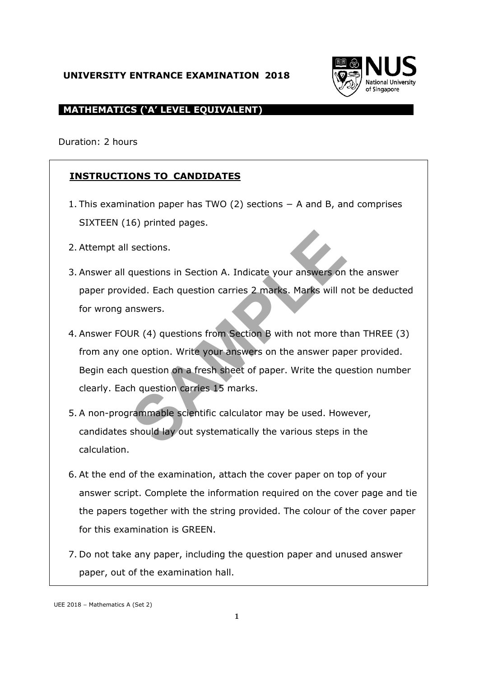# **UNIVERSITY ENTRANCE EXAMINATION 2018**



# **MATHEMATICS ('A' LEVEL EQUIVALENT)**

Duration: 2 hours

# **INSTRUCTIONS TO CANDIDATES**

- 1. This examination paper has TWO (2) sections − A and B, and comprises SIXTEEN (16) printed pages.
- 2. Attempt all sections.
- 3. Answer all questions in Section A. Indicate your answers on the answer paper provided. Each question carries 2 marks. Marks will not be deducted for wrong answers.
- sections.<br>
questions in Section A. Indicate your answers on<br>
ided. Each question carries 2 marks. Marks will n<br>
nnswers.<br>
JR (4) questions from Section B with not more the<br>
me option. Write your answers on the answer pap<br> 4. Answer FOUR (4) questions from Section B with not more than THREE (3) from any one option. Write your answers on the answer paper provided. Begin each question on a fresh sheet of paper. Write the question number clearly. Each question carries 15 marks.
- 5. A non-programmable scientific calculator may be used. However, candidates should lay out systematically the various steps in the calculation.
- 6. At the end of the examination, attach the cover paper on top of your answer script. Complete the information required on the cover page and tie the papers together with the string provided. The colour of the cover paper for this examination is GREEN.
- 7. Do not take any paper, including the question paper and unused answer paper, out of the examination hall.

UEE 2018 – Mathematics A (Set 2)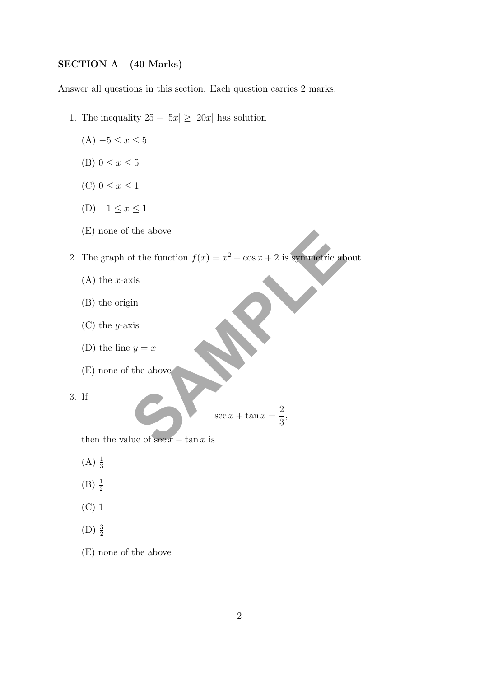### SECTION A (40 Marks)

Answer all questions in this section. Each question carries 2 marks.

- 1. The inequality  $25 |5x| \ge |20x|$  has solution
	- $(A) -5 ≤ x ≤ 5$
	- (B)  $0 \leq x \leq 5$
	- (C)  $0 \leq x \leq 1$
	- (D)  $-1 ≤ x ≤ 1$
	- (E) none of the above

the above<br>
of the function  $f(x) = x^2 + \cos x + 2$  is symmetric ab<br>
xis<br>
xis<br>
xis<br>
xis<br>
y = x<br>
the above<br>
sec x + tan x =  $\frac{2}{3}$ ,<br>
lue of see x - tan x is 2. The graph of the function  $f(x) = x^2 + \cos x + 2$  is symmetric about

- $(A)$  the *x*-axis
- (B) the origin
- (C) the y-axis
- (D) the line  $y = x$
- (E) none of the above

3. If

$$
\sec x + \tan x = \frac{2}{3},
$$

then the value of  $\sec x - \tan x$  is

- $(A) \frac{1}{3}$
- $(B) \frac{1}{2}$
- (C) 1
- $(D)$   $\frac{3}{2}$
- (E) none of the above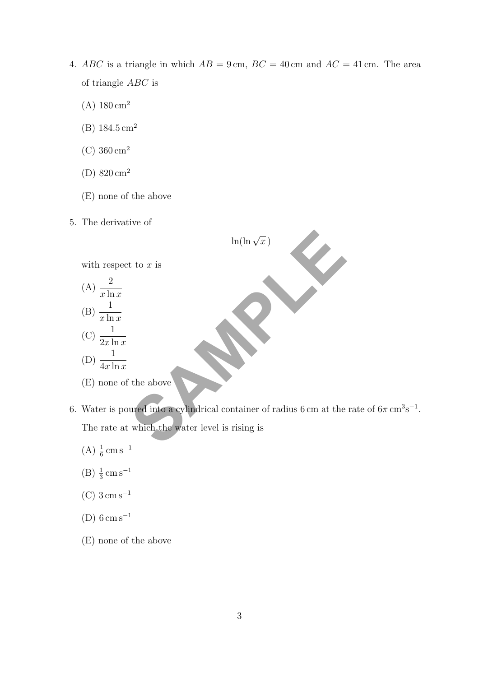- 4. ABC is a triangle in which  $AB = 9 \text{ cm}$ ,  $BC = 40 \text{ cm}$  and  $AC = 41 \text{ cm}$ . The area of triangle ABC is
	- $(A) 180 \text{ cm}^2$
	- (B)  $184.5 \text{ cm}^2$
	- (C)  $360 \text{ cm}^2$
	- (D) 820 cm<sup>2</sup>
	- (E) none of the above
- 5. The derivative of



- 6. Water is poured into a cylindrical container of radius 6 cm at the rate of  $6\pi \,\mathrm{cm}^3 \mathrm{s}^{-1}$ . The rate at which the water level is rising is
	- $(A) \frac{1}{6}$  cm s<sup>-1</sup>
	- $(B) \frac{1}{3}$  cm s<sup>-1</sup>
	- (C)  $3 \text{ cm s}^{-1}$
	- $(D)$  6 cm s<sup>-1</sup>
	- (E) none of the above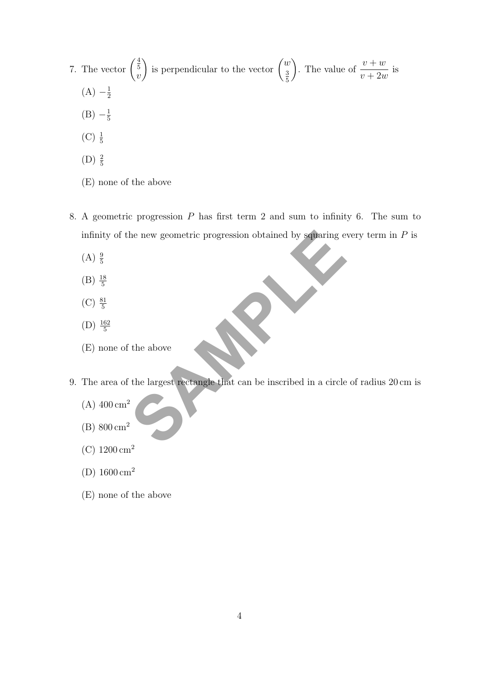- 7. The vector  $\binom{\frac{4}{5}}{4}$  $\overline{v}$ is perpendicular to the vector  $\begin{pmatrix} w \\ s \end{pmatrix}$ 3 5 ). The value of  $\frac{v+w}{\sqrt{2}}$  $v + 2w$ is  $(A) -\frac{1}{2}$ 2
	- $(B) -\frac{1}{5}$ 5
	- $(C) \frac{1}{5}$
	- (D)  $\frac{2}{5}$
	- (E) none of the above
- the new geometric progression obtained by squaring e 8. A geometric progression P has first term 2 and sum to infinity 6. The sum to infinity of the new geometric progression obtained by squaring every term in  $P$  is
	- $(A) \frac{9}{5}$
	- $(B) \frac{18}{5}$
	- $(C) \frac{81}{5}$
	- (D)  $\frac{162}{5}$
	- (E) none of the above
- 9. The area of the largest rectangle that can be inscribed in a circle of radius 20 cm is
	- $(A)$  400 cm<sup>2</sup>
	- (B) 800 cm<sup>2</sup>
	- (C)  $1200 \text{ cm}^2$
	- (D)  $1600 \text{ cm}^2$
	- (E) none of the above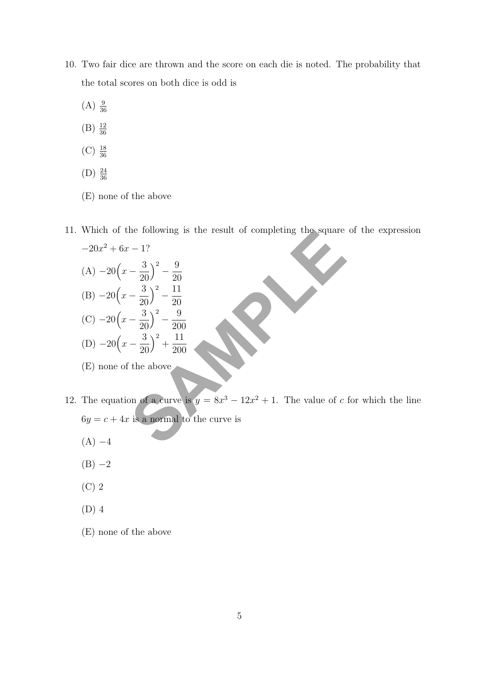- 10. Two fair dice are thrown and the score on each die is noted. The probability that the total scores on both dice is odd is
	- $(A) \frac{9}{36}$
	- $(B) \frac{12}{36}$
	- $(C) \frac{18}{36}$
	- $(D) \frac{24}{36}$
	- (E) none of the above
- 11. Which of the following is the result of completing the square of the expression

which of the following is the result of completing the square  
\n
$$
-20x^2 + 6x - 1?
$$
\n(A) 
$$
-20\left(x - \frac{3}{20}\right)^2 - \frac{9}{20}
$$
\n(B) 
$$
-20\left(x - \frac{3}{20}\right)^2 - \frac{9}{200}
$$
\n(C) 
$$
-20\left(x - \frac{3}{20}\right)^2 + \frac{11}{200}
$$
\n(E) none of the above  
\n(E) none of the above  
\n
$$
6y = c + 4x
$$
 is a normal to the curve is  
\n(A) 
$$
-4
$$

- (E) none of the above
- 12. The equation of a curve is  $y = 8x^3 12x^2 + 1$ . The value of c for which the line  $6y = c + 4x$  is a normal to the curve is
	- $(A) -4$
	- $(B) -2$
	- (C) 2
	- (D) 4
	- (E) none of the above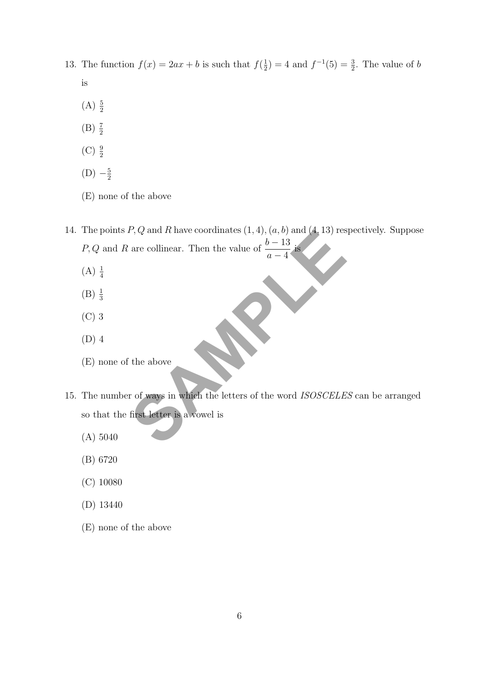- 13. The function  $f(x) = 2ax + b$  is such that  $f(\frac{1}{2})$  $(\frac{1}{2}) = 4$  and  $f^{-1}(5) = \frac{3}{2}$ . The value of b is
	- $(A) \frac{5}{2}$
	- $(B) \frac{7}{2}$
	- $(C) \frac{9}{2}$
	- $(D) -\frac{5}{2}$ 2
	- (E) none of the above
- 14. The points  $P, Q$  and  $R$  have coordinates  $(1, 4), (a, b)$  and  $(4, 13)$  respectively. Suppose P, Q and R are collinear. Then the value of  $\frac{b-13}{4}$  $a - 4$ is
	- $(A) \frac{1}{4}$
	- $(B) \frac{1}{3}$
	- (C) 3
	- (D) 4
	- (E) none of the above
- *P*, *Q* and *K* have coordinates (1, 4), (*a*, *b*) and (4, 13) res<br>are collinear. Then the value of  $\frac{b-13}{a-4}$  is<br>the above<br>r of ways in which the letters of the word *ISOSCELE*<br>first letter is a wowel is 15. The number of ways in which the letters of the word ISOSCELES can be arranged so that the first letter is a vowel is
	- (A) 5040
	- (B) 6720
	- (C) 10080
	- (D) 13440
	- (E) none of the above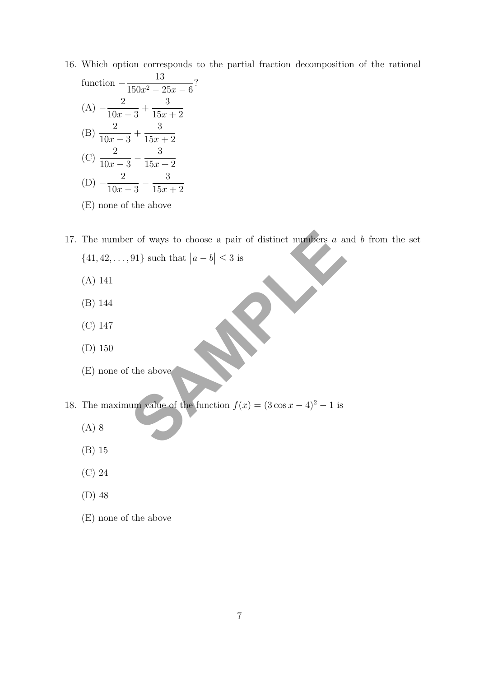- 16. Which option corresponds to the partial fraction decomposition of the rational
	- function  $-\frac{13}{150-3}$  $\frac{15}{150x^2 - 25x - 6}$ ?  $(A) - \frac{2}{10}$  $10x - 3$ + 3  $15x + 2$  $(B) \frac{2}{10}$  $10x - 3$  $+$ 3  $15x + 2$  $(C) \frac{2}{10}$  $10x - 3$  $-\frac{3}{15}$  $15x + 2$  $(D) - \frac{2}{10}$  $10x - 3$  $-\frac{3}{15}$  $15x + 2$
	- (E) none of the above
- or of ways to choose a pair of distinct numbers *a* a:<br>
91} such that  $|a b| \le 3$  is<br>
the above<br>
the above<br>
um value of the function  $f(x) = (3 \cos x 4)^2 1$  is 17. The number of ways to choose a pair of distinct numbers a and b from the set  $\{41, 42, \ldots, 91\}$  such that  $|a - b| \leq 3$  is
	- (A) 141
	- (B) 144
	- (C) 147
	- (D) 150
	- (E) none of the above
- 18. The maximum value of the function  $f(x) = (3 \cos x 4)^2 1$  is
	- (A) 8
	- (B) 15
	- (C) 24
	- (D) 48
	- (E) none of the above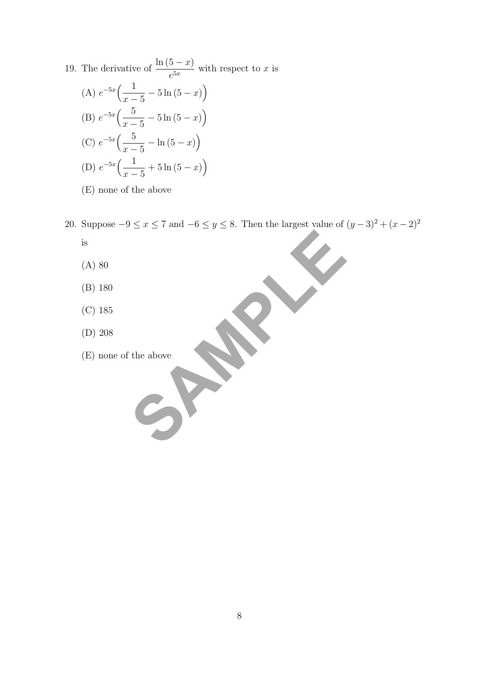19. The derivative of  $\frac{\ln(5-x)}{5x}$  $\frac{c^{5x}}{e^{5x}}$  with respect to x is (A)  $e^{-5x}$   $\left( \frac{1}{2} \right)$  $x-5$  $-5\ln(5-x)$ (B)  $e^{-5x}$   $\Big(-\frac{5}{x}\Big)$  $x - 5$  $-5\ln(5-x)$ (C)  $e^{-5x}$   $\left(-\frac{5}{x}\right)$  $x-5$  $-\ln(5-x)$ (D)  $e^{-5x}$   $\left( \frac{1}{2} \right)$  $x-5$  $+ 5 \ln (5 - x)$ 

(E) none of the above

the above SPARA 20. Suppose  $-9 \le x \le 7$  and  $-6 \le y \le 8$ . Then the largest value of  $(y-3)^2 + (x-2)^2$ is

- (A) 80
- (B) 180
- (C) 185
- (D) 208
- (E) none of the above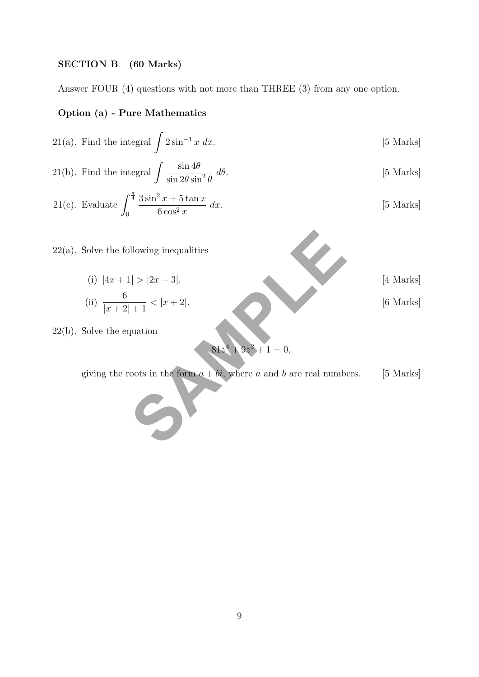# SECTION B (60 Marks)

Answer FOUR (4) questions with not more than THREE (3) from any one option.

### Option (a) - Pure Mathematics

21(a). Find the integral 
$$
\int 2\sin^{-1} x \ dx
$$
. [5 Marks]

21(b). Find the integral 
$$
\int \frac{\sin 4\theta}{\sin 2\theta \sin^2 \theta} d\theta
$$
. [5 Marks]

21(c). Evaluate 
$$
\int_0^{\frac{\pi}{4}} \frac{3\sin^2 x + 5\tan x}{6\cos^2 x} dx.
$$
 [5 Marks]

 $22(a)$ . Solve the following inequalities

Solve the following inequalities  
\n(i) 
$$
|4x + 1| > |2x - 3|
$$
,  
\n(ii)  $\frac{6}{|x+2|+1} < |x+2|$ .  
\nSolve the equation  
\n81z<sup>4</sup> + 9z<sup>2</sup> + 1 = 0,  
\nFiving the roots in the form  $a + bi$ , where a and b are real numbers. [5 Marks]

22(b). Solve the equation

$$
81z^4 + 9z^2 + 1 = 0,
$$

giving the roots in the form  $a + bi$ , where a and b are real numbers. [5 Marks]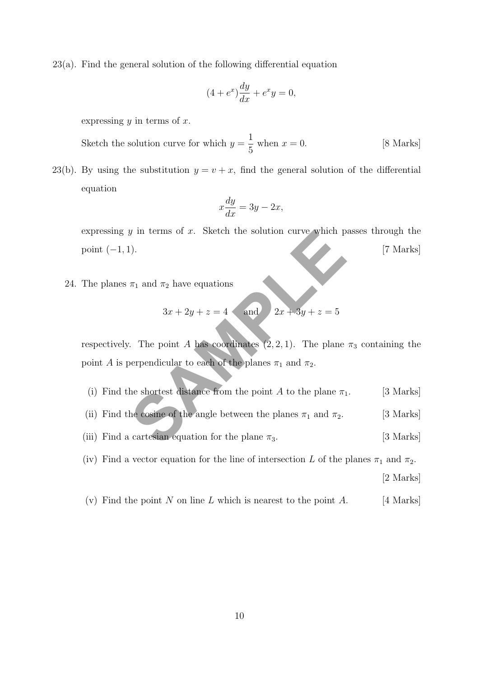23(a). Find the general solution of the following differential equation

$$
(4 + e^x)\frac{dy}{dx} + e^x y = 0,
$$

expressing  $y$  in terms of  $x$ .

Sketch the solution curve for which  $y =$ 1 5 when  $x = 0$ . [8 Marks]

23(b). By using the substitution  $y = v + x$ , find the general solution of the differential equation

$$
x\frac{dy}{dx} = 3y - 2x,
$$

expressing  $y$  in terms of  $x$ . Sketch the solution curve which passes through the  $point (-1, 1).$  [7 Marks]

24. The planes  $\pi_1$  and  $\pi_2$  have equations

$$
3x + 2y + z = 4 \qquad \text{and} \qquad 2x + 3y + z = 5
$$

*y* in terms of *x*. Sketch the solution curve which p<br>
1).<br>  $\pi_1$  and  $\pi_2$  have equations<br>  $3x + 2y + z = 4$  and  $2x + 3y + z = 5$ <br>  $\therefore$  The point *A* has coordinates (2, 2, 1). The plane<br>
berpendicular to each of the planes respectively. The point A has coordinates  $(2, 2, 1)$ . The plane  $\pi_3$  containing the point A is perpendicular to each of the planes  $\pi_1$  and  $\pi_2$ .

- (i) Find the shortest distance from the point A to the plane  $\pi_1$ . [3 Marks]
- (ii) Find the cosine of the angle between the planes  $\pi_1$  and  $\pi_2$ . [3 Marks]
- (iii) Find a cartesian equation for the plane  $\pi_3$ . [3 Marks]
- (iv) Find a vector equation for the line of intersection L of the planes  $\pi_1$  and  $\pi_2$ .

[2 Marks]

(v) Find the point N on line L which is nearest to the point  $A$ . [4 Marks]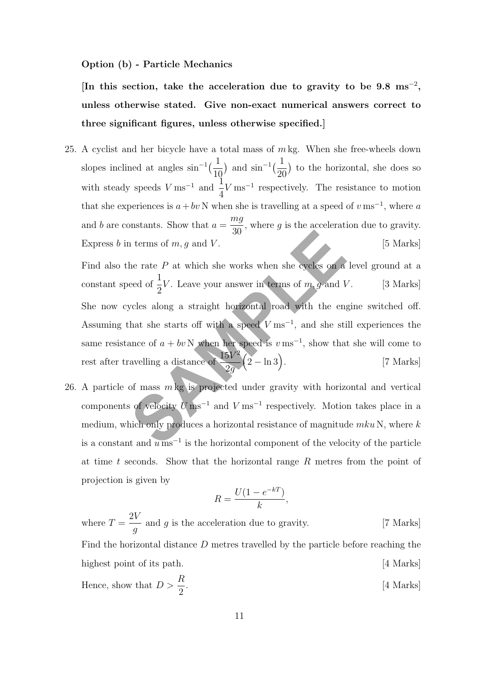### Option (b) - Particle Mechanics

[In this section, take the acceleration due to gravity to be  $9.8 \text{ ms}^{-2}$ , unless otherwise stated. Give non-exact numerical answers correct to three significant figures, unless otherwise specified.]

25. A cyclist and her bicycle have a total mass of  $m \, \text{kg}$ . When she free-wheels down slopes inclined at angles  $\sin^{-1}(\frac{1}{16})$ 10 ) and  $\sin^{-1}(\frac{1}{\infty})$ 20 ) to the horizontal, she does so with steady speeds  $V \text{ ms}^{-1}$  and  $\frac{1}{4}$ 4  $V \text{ ms}^{-1}$  respectively. The resistance to motion that she experiences is  $a + bv$  N when she is travelling at a speed of  $v \text{ ms}^{-1}$ , where a and b are constants. Show that  $a =$ mg 30 , where  $g$  is the acceleration due to gravity. Express b in terms of  $m, g$  and  $V$ . [5 Marks]

30<br>
terms of m, g and V.<br>
the rate P at which she works when she cycles on a<br>
eed of  $\frac{1}{2}V$ . Leave your answer in terms of m, g and V<br>
ycles along a straight horizontal road with the eng<br>
hat she starts off with a spe Find also the rate  $P$  at which she works when she cycles on a level ground at a constant speed of  $\frac{1}{2}$ 2 V. Leave your answer in terms of  $m$ ,  $g$  and  $V$ . [3 Marks] She now cycles along a straight horizontal road with the engine switched off. Assuming that she starts off with a speed  $V \text{ ms}^{-1}$ , and she still experiences the same resistance of  $a + bv$  N when her speed is  $v \text{ ms}^{-1}$ , show that she will come to rest after travelling a distance of  $\frac{15V^2}{9}$ 2g  $\left(2 - \ln 3\right)$ [7 Marks]

26. A particle of mass  $m \text{ kg}$  is projected under gravity with horizontal and vertical components of velocity  $U \text{ ms}^{-1}$  and  $V \text{ ms}^{-1}$  respectively. Motion takes place in a medium, which only produces a horizontal resistance of magnitude  $mku$  N, where k is a constant and  $u \text{ ms}^{-1}$  is the horizontal component of the velocity of the particle at time t seconds. Show that the horizontal range  $R$  metres from the point of projection is given by

$$
R = \frac{U(1 - e^{-kT})}{k},
$$

where  $T =$  $2V$ g and  $g$  is the acceleration due to gravity. [7 Marks] Find the horizontal distance D metres travelled by the particle before reaching the highest point of its path. [4 Marks] Hence, show that  $D > \frac{R}{2}$ 2 [4 Marks]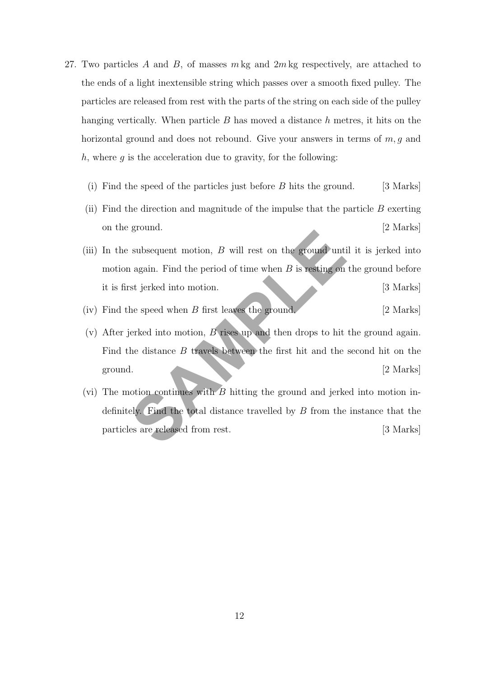- 27. Two particles A and B, of masses  $m \text{ kg}$  and  $2m \text{ kg}$  respectively, are attached to the ends of a light inextensible string which passes over a smooth fixed pulley. The particles are released from rest with the parts of the string on each side of the pulley hanging vertically. When particle  $B$  has moved a distance  $h$  metres, it hits on the horizontal ground and does not rebound. Give your answers in terms of  $m, q$  and h, where q is the acceleration due to gravity, for the following:
	- (i) Find the speed of the particles just before  $B$  hits the ground. [3 Marks]
	- (ii) Find the direction and magnitude of the impulse that the particle  $B$  exerting on the ground. [2 Marks]
	- subsequent motion,  $B$  will rest on the ground unti-<br>
	1 again. Find the period of time when  $B$  is resting on<br>
	1 again. Find the period of time when  $B$  is resting on<br>
	1 as igrical into motion,  $B$  rises up and then drops (iii) In the subsequent motion,  $B$  will rest on the ground until it is jerked into motion again. Find the period of time when  $B$  is resting on the ground before it is first jerked into motion. [3 Marks]
	- (iv) Find the speed when B first leaves the ground. [2 Marks]
	- (v) After jerked into motion, B rises up and then drops to hit the ground again. Find the distance B travels between the first hit and the second hit on the ground. [2 Marks]
	- (vi) The motion continues with  $\overline{B}$  hitting the ground and jerked into motion indefinitely. Find the total distance travelled by B from the instance that the particles are released from rest. [3 Marks]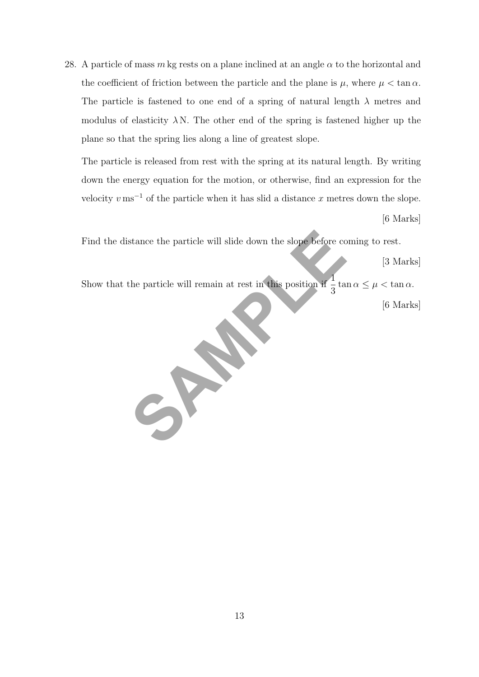28. A particle of mass m kg rests on a plane inclined at an angle  $\alpha$  to the horizontal and the coefficient of friction between the particle and the plane is  $\mu$ , where  $\mu < \tan \alpha$ . The particle is fastened to one end of a spring of natural length  $\lambda$  metres and modulus of elasticity  $\lambda N$ . The other end of the spring is fastened higher up the plane so that the spring lies along a line of greatest slope.

The particle is released from rest with the spring at its natural length. By writing down the energy equation for the motion, or otherwise, find an expression for the velocity  $v \text{ ms}^{-1}$  of the particle when it has slid a distance x metres down the slope. [6 Marks]

stance the particle will slide down the slope before combined as the particle will remain at rest in this position if  $\frac{1}{3}$  ta Find the distance the particle will slide down the slope before coming to rest.

[3 Marks]

Show that the particle will remain at rest in this position if  $\frac{1}{2}$ 3  $\tan \alpha \leq \mu < \tan \alpha$ .

[6 Marks]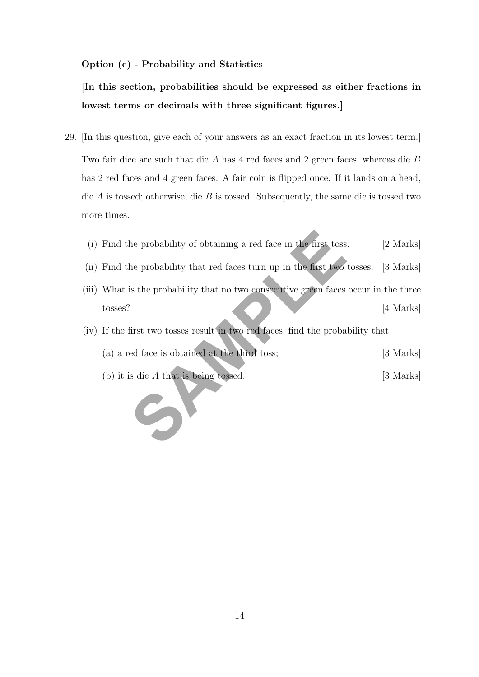### Option (c) - Probability and Statistics

[In this section, probabilities should be expressed as either fractions in lowest terms or decimals with three significant figures.]

29. [In this question, give each of your answers as an exact fraction in its lowest term.] Two fair dice are such that die A has 4 red faces and 2 green faces, whereas die B has 2 red faces and 4 green faces. A fair coin is flipped once. If it lands on a head, die  $A$  is tossed; otherwise, die  $B$  is tossed. Subsequently, the same die is tossed two more times.

| (i) Find the probability of obtaining a red face in the first toss. | [2 Marks] |  |
|---------------------------------------------------------------------|-----------|--|
|---------------------------------------------------------------------|-----------|--|

- (ii) Find the probability that red faces turn up in the first two tosses. [3 Marks]
- the probability of obtaining a red face in the first toss<br>he probability that red faces turn up in the first two<br>is the probability that no two consecutive green faces<br>first two tosses result in two red faces, find the pro (iii) What is the probability that no two consecutive green faces occur in the three tosses? [4 Marks]
- (iv) If the first two tosses result in two red faces, find the probability that

| (a) a red face is obtained at the third toss; |  | [3 Marks] |
|-----------------------------------------------|--|-----------|
|-----------------------------------------------|--|-----------|

(b) it is die A that is being tossed. [3 Marks]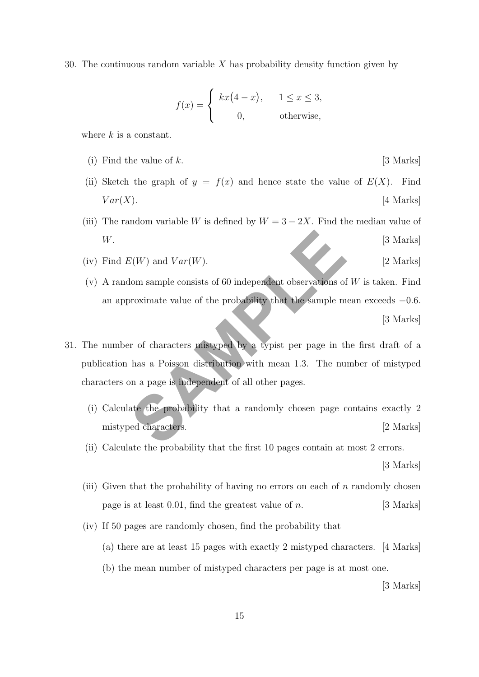30. The continuous random variable X has probability density function given by

$$
f(x) = \begin{cases} kx(4-x), & 1 \le x \le 3, \\ 0, & \text{otherwise,} \end{cases}
$$

where  $k$  is a constant.

- (i) Find the value of  $k$ . [3 Marks]
- (ii) Sketch the graph of  $y = f(x)$  and hence state the value of  $E(X)$ . Find  $Var(X)$ . [4 Marks]
- (iii) The random variable W is defined by  $W = 3 2X$ . Find the median value of W. [3 Marks]
- (iv) Find  $E(W)$  and  $Var(W)$ . [2 Marks]
- (v) A random sample consists of 60 independent observations of  $W$  is taken. Find an approximate value of the probability that the sample mean exceeds −0.6. [3 Marks]
- $E(W)$  and  $Var(W)$ .<br>
Iom sample consists of 60 independent observations of<br>
proximate value of the probability that the sample m<br>
are of characters mistyped by a typist per page in th<br>
has a Poisson distribution with mean 1. 31. The number of characters mistyped by a typist per page in the first draft of a publication has a Poisson distribution with mean 1.3. The number of mistyped characters on a page is independent of all other pages.
	- (i) Calculate the probability that a randomly chosen page contains exactly 2 mistyped characters. [2 Marks]
	- (ii) Calculate the probability that the first 10 pages contain at most 2 errors.

[3 Marks]

- (iii) Given that the probability of having no errors on each of n randomly chosen page is at least 0.01, find the greatest value of *n*. [3 Marks]
- (iv) If 50 pages are randomly chosen, find the probability that
	- (a) there are at least 15 pages with exactly 2 mistyped characters. [4 Marks]
	- (b) the mean number of mistyped characters per page is at most one.

[3 Marks]